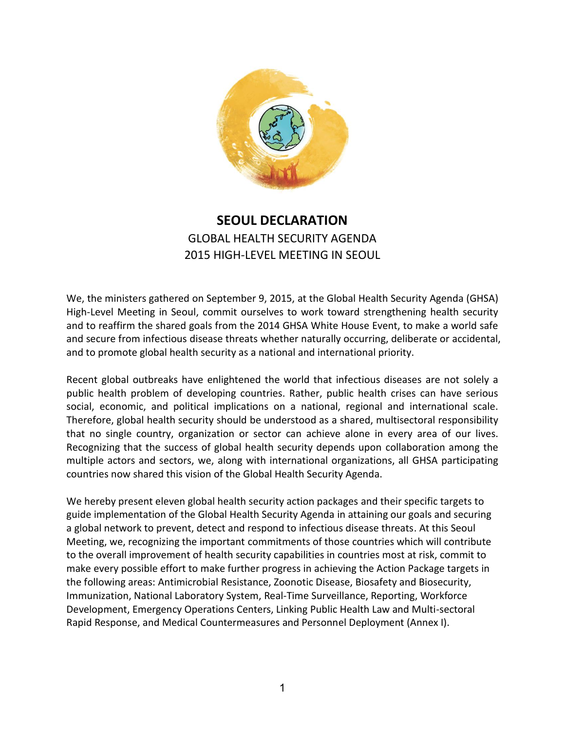

# **SEOUL DECLARATION** GLOBAL HEALTH SECURITY AGENDA 2015 HIGH-LEVEL MEETING IN SEOUL

We, the ministers gathered on September 9, 2015, at the Global Health Security Agenda (GHSA) High-Level Meeting in Seoul, commit ourselves to work toward strengthening health security and to reaffirm the shared goals from the 2014 GHSA White House Event, to make a world safe and secure from infectious disease threats whether naturally occurring, deliberate or accidental, and to promote global health security as a national and international priority.

Recent global outbreaks have enlightened the world that infectious diseases are not solely a public health problem of developing countries. Rather, public health crises can have serious social, economic, and political implications on a national, regional and international scale. Therefore, global health security should be understood as a shared, multisectoral responsibility that no single country, organization or sector can achieve alone in every area of our lives. Recognizing that the success of global health security depends upon collaboration among the multiple actors and sectors, we, along with international organizations, all GHSA participating countries now shared this vision of the Global Health Security Agenda.

We hereby present eleven global health security action packages and their specific targets to guide implementation of the Global Health Security Agenda in attaining our goals and securing a global network to prevent, detect and respond to infectious disease threats. At this Seoul Meeting, we, recognizing the important commitments of those countries which will contribute to the overall improvement of health security capabilities in countries most at risk, commit to make every possible effort to make further progress in achieving the Action Package targets in the following areas: Antimicrobial Resistance, Zoonotic Disease, Biosafety and Biosecurity, Immunization, National Laboratory System, Real-Time Surveillance, Reporting, Workforce Development, Emergency Operations Centers, Linking Public Health Law and Multi-sectoral Rapid Response, and Medical Countermeasures and Personnel Deployment (Annex I).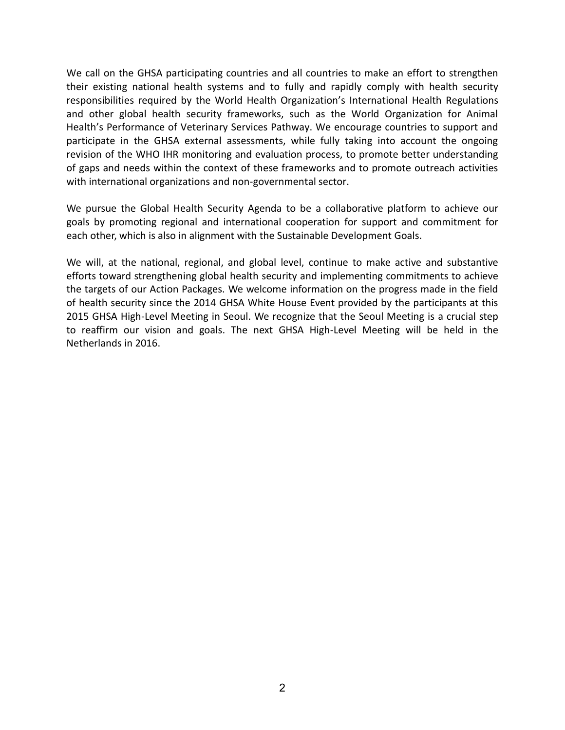We call on the GHSA participating countries and all countries to make an effort to strengthen their existing national health systems and to fully and rapidly comply with health security responsibilities required by the World Health Organization's International Health Regulations and other global health security frameworks, such as the World Organization for Animal Health's Performance of Veterinary Services Pathway. We encourage countries to support and participate in the GHSA external assessments, while fully taking into account the ongoing revision of the WHO IHR monitoring and evaluation process, to promote better understanding of gaps and needs within the context of these frameworks and to promote outreach activities with international organizations and non-governmental sector.

We pursue the Global Health Security Agenda to be a collaborative platform to achieve our goals by promoting regional and international cooperation for support and commitment for each other, which is also in alignment with the Sustainable Development Goals.

We will, at the national, regional, and global level, continue to make active and substantive efforts toward strengthening global health security and implementing commitments to achieve the targets of our Action Packages. We welcome information on the progress made in the field of health security since the 2014 GHSA White House Event provided by the participants at this 2015 GHSA High-Level Meeting in Seoul. We recognize that the Seoul Meeting is a crucial step to reaffirm our vision and goals. The next GHSA High-Level Meeting will be held in the Netherlands in 2016.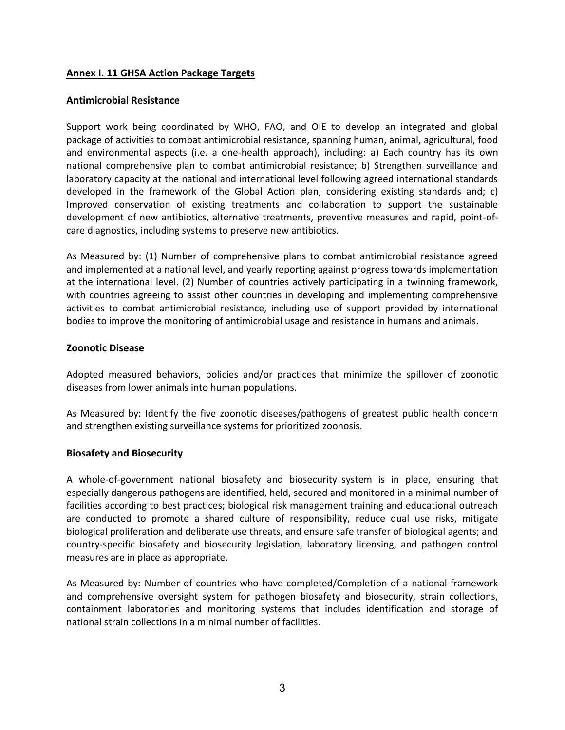## **Annex I. 11 GHSA Action Package Targets**

### **Antimicrobial Resistance**

Support work being coordinated by WHO, FAO, and OIE to develop an integrated and global package of activities to combat antimicrobial resistance, spanning human, animal, agricultural, food and environmental aspects (i.e. a one-health approach), including: a) Each country has its own national comprehensive plan to combat antimicrobial resistance; b) Strengthen surveillance and laboratory capacity at the national and international level following agreed international standards developed in the framework of the Global Action plan, considering existing standards and; c) Improved conservation of existing treatments and collaboration to support the sustainable development of new antibiotics, alternative treatments, preventive measures and rapid, point-ofcare diagnostics, including systems to preserve new antibiotics.

As Measured by: (1) Number of comprehensive plans to combat antimicrobial resistance agreed and implemented at a national level, and yearly reporting against progress towards implementation at the international level. (2) Number of countries actively participating in a twinning framework, with countries agreeing to assist other countries in developing and implementing comprehensive activities to combat antimicrobial resistance, including use of support provided by international bodies to improve the monitoring of antimicrobial usage and resistance in humans and animals.

### **Zoonotic Disease**

Adopted measured behaviors, policies and/or practices that minimize the spillover of zoonotic diseases from lower animals into human populations.

As Measured by: Identify the five zoonotic diseases/pathogens of greatest public health concern and strengthen existing surveillance systems for prioritized zoonosis.

## **Biosafety and Biosecurity**

A whole-of-government national biosafety and biosecurity system is in place, ensuring that especially dangerous pathogens are identified, held, secured and monitored in a minimal number of facilities according to best practices; biological risk management training and educational outreach are conducted to promote a shared culture of responsibility, reduce dual use risks, mitigate biological proliferation and deliberate use threats, and ensure safe transfer of biological agents; and country-specific biosafety and biosecurity legislation, laboratory licensing, and pathogen control measures are in place as appropriate.

As Measured by**:** Number of countries who have completed/Completion of a national framework and comprehensive oversight system for pathogen biosafety and biosecurity, strain collections, containment laboratories and monitoring systems that includes identification and storage of national strain collections in a minimal number of facilities.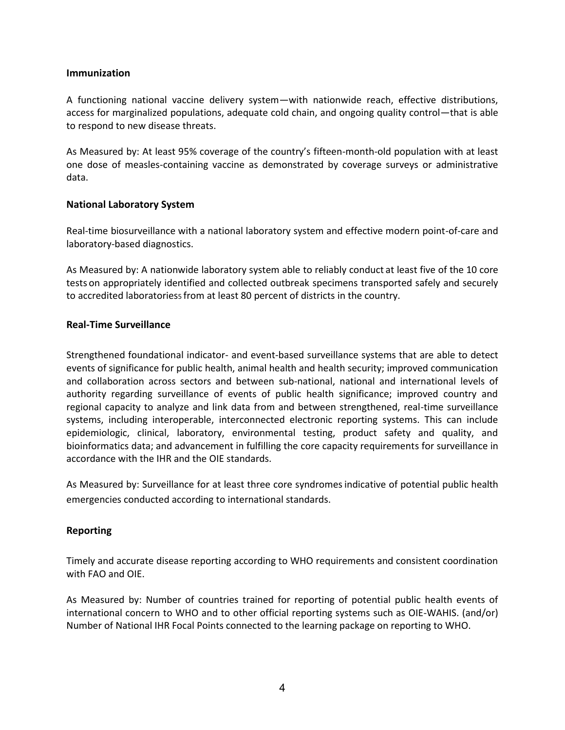## **Immunization**

A functioning national vaccine delivery system—with nationwide reach, effective distributions, access for marginalized populations, adequate cold chain, and ongoing quality control—that is able to respond to new disease threats.

As Measured by: At least 95% coverage of the country's fifteen-month-old population with at least one dose of measles-containing vaccine as demonstrated by coverage surveys or administrative data.

## **National Laboratory System**

Real-time biosurveillance with a national laboratory system and effective modern point-of-care and laboratory-based diagnostics.

As Measured by: A nationwide laboratory system able to reliably conduct at least five of the 10 core tests on appropriately identified and collected outbreak specimens transported safely and securely to accredited laboratoriess from at least 80 percent of districts in the country.

### **Real-Time Surveillance**

Strengthened foundational indicator- and event-based surveillance systems that are able to detect events of significance for public health, animal health and health security; improved communication and collaboration across sectors and between sub-national, national and international levels of authority regarding surveillance of events of public health significance; improved country and regional capacity to analyze and link data from and between strengthened, real-time surveillance systems, including interoperable, interconnected electronic reporting systems. This can include epidemiologic, clinical, laboratory, environmental testing, product safety and quality, and bioinformatics data; and advancement in fulfilling the core capacity requirements for surveillance in accordance with the IHR and the OIE standards.

As Measured by: Surveillance for at least three core syndromesindicative of potential public health emergencies conducted according to international standards.

## **Reporting**

Timely and accurate disease reporting according to WHO requirements and consistent coordination with FAO and OIE.

As Measured by: Number of countries trained for reporting of potential public health events of international concern to WHO and to other official reporting systems such as OIE-WAHIS. (and/or) Number of National IHR Focal Points connected to the learning package on reporting to WHO.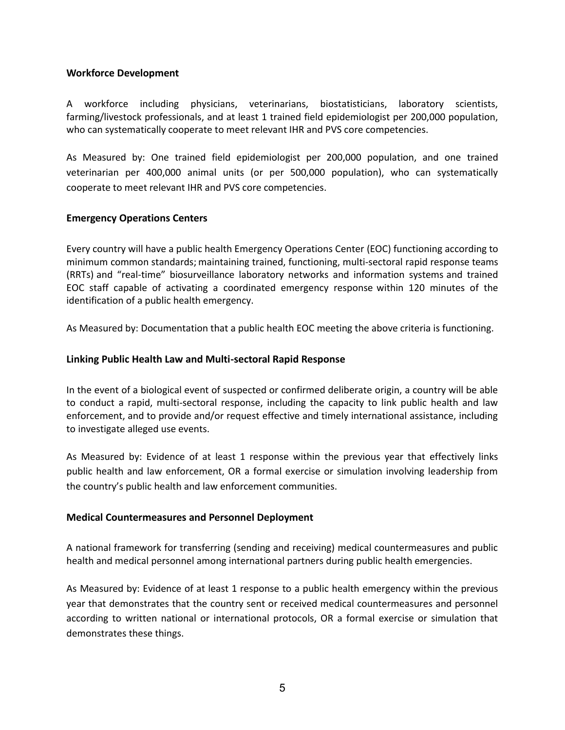### **Workforce Development**

A workforce including physicians, veterinarians, biostatisticians, laboratory scientists, farming/livestock professionals, and at least 1 trained field epidemiologist per 200,000 population, who can systematically cooperate to meet relevant IHR and PVS core competencies.

As Measured by: One trained field epidemiologist per 200,000 population, and one trained veterinarian per 400,000 animal units (or per 500,000 population), who can systematically cooperate to meet relevant IHR and PVS core competencies.

## **Emergency Operations Centers**

Every country will have a public health Emergency Operations Center (EOC) functioning according to minimum common standards; maintaining trained, functioning, multi-sectoral rapid response teams (RRTs) and "real-time" biosurveillance laboratory networks and information systems and trained EOC staff capable of activating a coordinated emergency response within 120 minutes of the identification of a public health emergency.

As Measured by: Documentation that a public health EOC meeting the above criteria is functioning.

### **Linking Public Health Law and Multi-sectoral Rapid Response**

In the event of a biological event of suspected or confirmed deliberate origin, a country will be able to conduct a rapid, multi-sectoral response, including the capacity to link public health and law enforcement, and to provide and/or request effective and timely international assistance, including to investigate alleged use events.

As Measured by: Evidence of at least 1 response within the previous year that effectively links public health and law enforcement, OR a formal exercise or simulation involving leadership from the country's public health and law enforcement communities.

#### **Medical Countermeasures and Personnel Deployment**

A national framework for transferring (sending and receiving) medical countermeasures and public health and medical personnel among international partners during public health emergencies.

As Measured by: Evidence of at least 1 response to a public health emergency within the previous year that demonstrates that the country sent or received medical countermeasures and personnel according to written national or international protocols, OR a formal exercise or simulation that demonstrates these things.